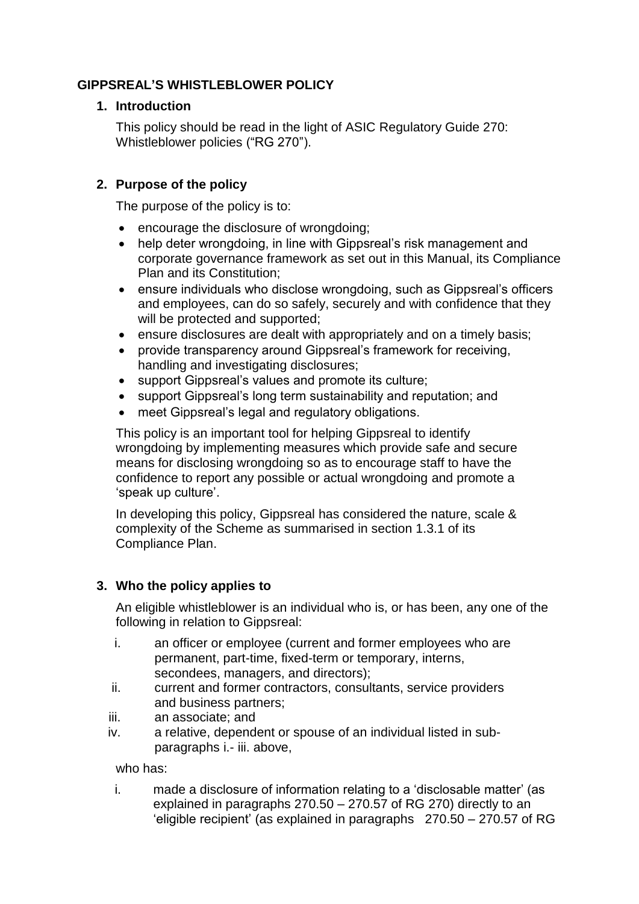# **GIPPSREAL'S WHISTLEBLOWER POLICY**

### **1. Introduction**

This policy should be read in the light of ASIC Regulatory Guide 270: Whistleblower policies ("RG 270").

# **2. Purpose of the policy**

The purpose of the policy is to:

- encourage the disclosure of wrongdoing;
- help deter wrongdoing, in line with Gippsreal's risk management and corporate governance framework as set out in this Manual, its Compliance Plan and its Constitution;
- ensure individuals who disclose wrongdoing, such as Gippsreal's officers and employees, can do so safely, securely and with confidence that they will be protected and supported;
- ensure disclosures are dealt with appropriately and on a timely basis;
- provide transparency around Gippsreal's framework for receiving, handling and investigating disclosures;
- support Gippsreal's values and promote its culture;
- support Gippsreal's long term sustainability and reputation; and
- meet Gippsreal's legal and regulatory obligations.

This policy is an important tool for helping Gippsreal to identify wrongdoing by implementing measures which provide safe and secure means for disclosing wrongdoing so as to encourage staff to have the confidence to report any possible or actual wrongdoing and promote a 'speak up culture'.

In developing this policy, Gippsreal has considered the nature, scale & complexity of the Scheme as summarised in section 1.3.1 of its Compliance Plan.

# **3. Who the policy applies to**

An eligible whistleblower is an individual who is, or has been, any one of the following in relation to Gippsreal:

- i. an officer or employee (current and former employees who are permanent, part-time, fixed-term or temporary, interns, secondees, managers, and directors);
- ii. current and former contractors, consultants, service providers and business partners;
- iii. an associate; and
- iv. a relative, dependent or spouse of an individual listed in subparagraphs i.- iii. above,

who has:

i. made a disclosure of information relating to a 'disclosable matter' (as explained in paragraphs 270.50 – 270.57 of RG 270) directly to an 'eligible recipient' (as explained in paragraphs 270.50 – 270.57 of RG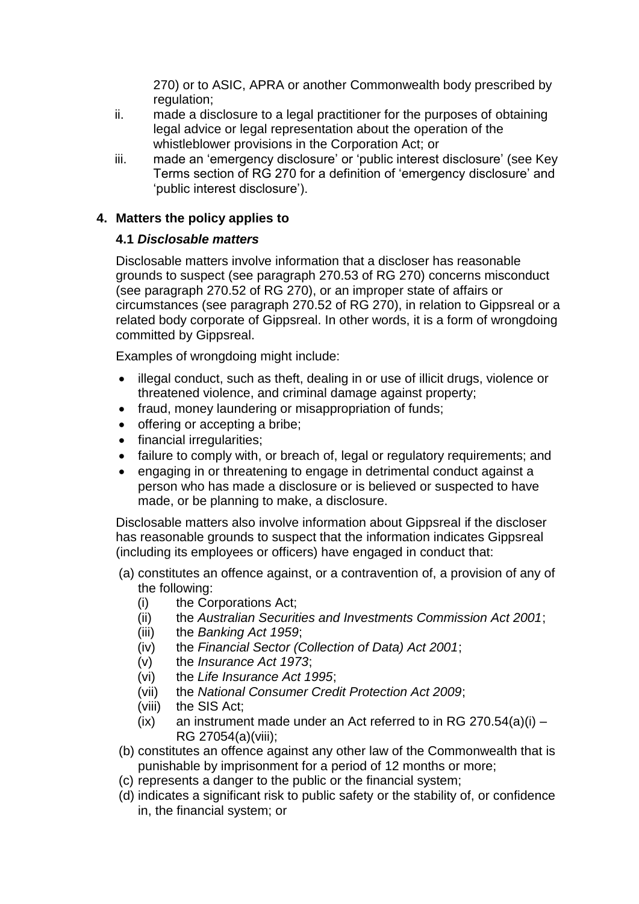270) or to ASIC, APRA or another Commonwealth body prescribed by regulation;

- ii. made a disclosure to a legal practitioner for the purposes of obtaining legal advice or legal representation about the operation of the whistleblower provisions in the Corporation Act; or
- iii. made an 'emergency disclosure' or 'public interest disclosure' (see Key Terms section of RG 270 for a definition of 'emergency disclosure' and 'public interest disclosure').

## **4. Matters the policy applies to**

### **4.1** *Disclosable matters*

Disclosable matters involve information that a discloser has reasonable grounds to suspect (see paragraph 270.53 of RG 270) concerns misconduct (see paragraph 270.52 of RG 270), or an improper state of affairs or circumstances (see paragraph 270.52 of RG 270), in relation to Gippsreal or a related body corporate of Gippsreal. In other words, it is a form of wrongdoing committed by Gippsreal.

Examples of wrongdoing might include:

- illegal conduct, such as theft, dealing in or use of illicit drugs, violence or threatened violence, and criminal damage against property;
- fraud, money laundering or misappropriation of funds;
- offering or accepting a bribe;
- financial irregularities;
- failure to comply with, or breach of, legal or regulatory requirements; and
- engaging in or threatening to engage in detrimental conduct against a person who has made a disclosure or is believed or suspected to have made, or be planning to make, a disclosure.

Disclosable matters also involve information about Gippsreal if the discloser has reasonable grounds to suspect that the information indicates Gippsreal (including its employees or officers) have engaged in conduct that:

- (a) constitutes an offence against, or a contravention of, a provision of any of the following:
	- (i) the Corporations Act;
	- (ii) the *Australian Securities and Investments Commission Act 2001*;
	- (iii) the *Banking Act 1959*;
	- (iv) the *Financial Sector (Collection of Data) Act 2001*;
	- (v) the *Insurance Act 1973*;
	- (vi) the *Life Insurance Act 1995*;
	- (vii) the *National Consumer Credit Protection Act 2009*;
	- (viii) the SIS Act;
	- (ix) an instrument made under an Act referred to in RG 270.54(a)(i) RG 27054(a)(viii);
- (b) constitutes an offence against any other law of the Commonwealth that is punishable by imprisonment for a period of 12 months or more;
- (c) represents a danger to the public or the financial system;
- (d) indicates a significant risk to public safety or the stability of, or confidence in, the financial system; or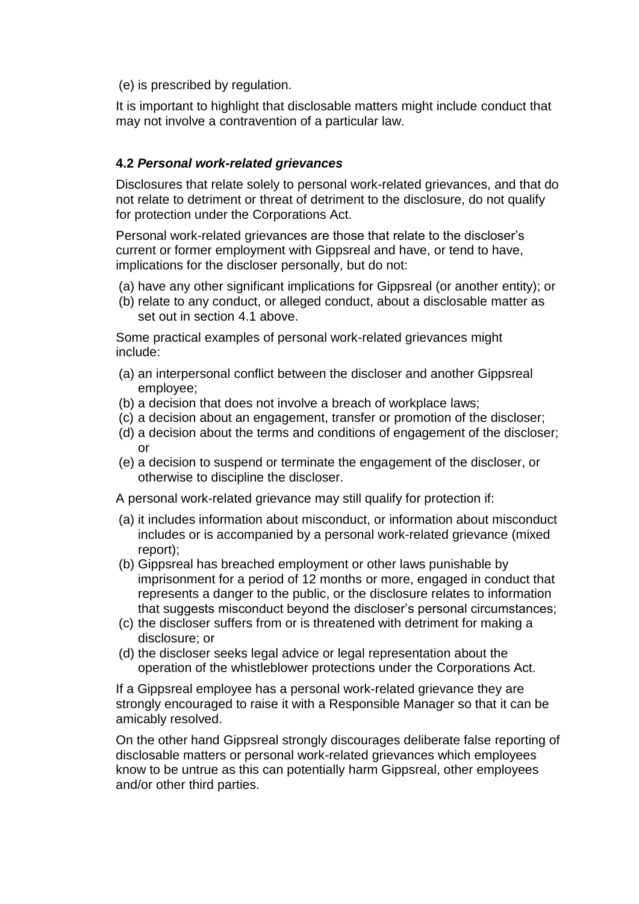(e) is prescribed by regulation.

It is important to highlight that disclosable matters might include conduct that may not involve a contravention of a particular law.

### **4.2** *Personal work-related grievances*

Disclosures that relate solely to personal work-related grievances, and that do not relate to detriment or threat of detriment to the disclosure, do not qualify for protection under the Corporations Act.

Personal work-related grievances are those that relate to the discloser's current or former employment with Gippsreal and have, or tend to have, implications for the discloser personally, but do not:

- (a) have any other significant implications for Gippsreal (or another entity); or
- (b) relate to any conduct, or alleged conduct, about a disclosable matter as set out in section 4.1 above.

Some practical examples of personal work-related grievances might include:

- (a) an interpersonal conflict between the discloser and another Gippsreal employee;
- (b) a decision that does not involve a breach of workplace laws;
- (c) a decision about an engagement, transfer or promotion of the discloser;
- (d) a decision about the terms and conditions of engagement of the discloser; or
- (e) a decision to suspend or terminate the engagement of the discloser, or otherwise to discipline the discloser.

A personal work-related grievance may still qualify for protection if:

- (a) it includes information about misconduct, or information about misconduct includes or is accompanied by a personal work-related grievance (mixed report);
- (b) Gippsreal has breached employment or other laws punishable by imprisonment for a period of 12 months or more, engaged in conduct that represents a danger to the public, or the disclosure relates to information that suggests misconduct beyond the discloser's personal circumstances;
- (c) the discloser suffers from or is threatened with detriment for making a disclosure; or
- (d) the discloser seeks legal advice or legal representation about the operation of the whistleblower protections under the Corporations Act.

If a Gippsreal employee has a personal work-related grievance they are strongly encouraged to raise it with a Responsible Manager so that it can be amicably resolved.

On the other hand Gippsreal strongly discourages deliberate false reporting of disclosable matters or personal work-related grievances which employees know to be untrue as this can potentially harm Gippsreal, other employees and/or other third parties.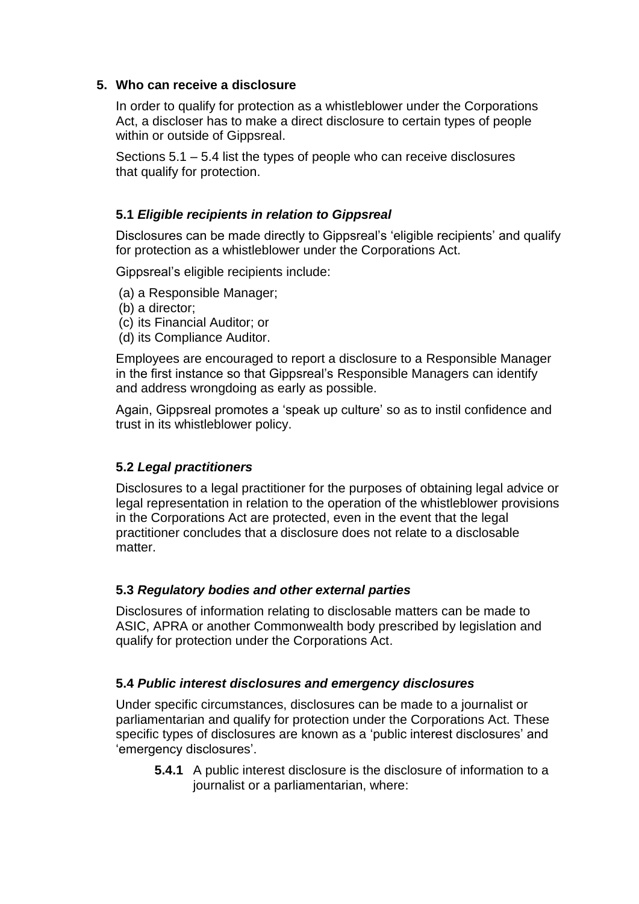### **5. Who can receive a disclosure**

In order to qualify for protection as a whistleblower under the Corporations Act, a discloser has to make a direct disclosure to certain types of people within or outside of Gippsreal.

Sections 5.1 – 5.4 list the types of people who can receive disclosures that qualify for protection.

### **5.1** *Eligible recipients in relation to Gippsreal*

Disclosures can be made directly to Gippsreal's 'eligible recipients' and qualify for protection as a whistleblower under the Corporations Act.

Gippsreal's eligible recipients include:

- (a) a Responsible Manager;
- (b) a director;
- (c) its Financial Auditor; or
- (d) its Compliance Auditor.

Employees are encouraged to report a disclosure to a Responsible Manager in the first instance so that Gippsreal's Responsible Managers can identify and address wrongdoing as early as possible.

Again, Gippsreal promotes a 'speak up culture' so as to instil confidence and trust in its whistleblower policy.

#### **5.2** *Legal practitioners*

Disclosures to a legal practitioner for the purposes of obtaining legal advice or legal representation in relation to the operation of the whistleblower provisions in the Corporations Act are protected, even in the event that the legal practitioner concludes that a disclosure does not relate to a disclosable matter.

#### **5.3** *Regulatory bodies and other external parties*

Disclosures of information relating to disclosable matters can be made to ASIC, APRA or another Commonwealth body prescribed by legislation and qualify for protection under the Corporations Act.

#### **5.4** *Public interest disclosures and emergency disclosures*

Under specific circumstances, disclosures can be made to a journalist or parliamentarian and qualify for protection under the Corporations Act. These specific types of disclosures are known as a 'public interest disclosures' and 'emergency disclosures'.

**5.4.1** A public interest disclosure is the disclosure of information to a journalist or a parliamentarian, where: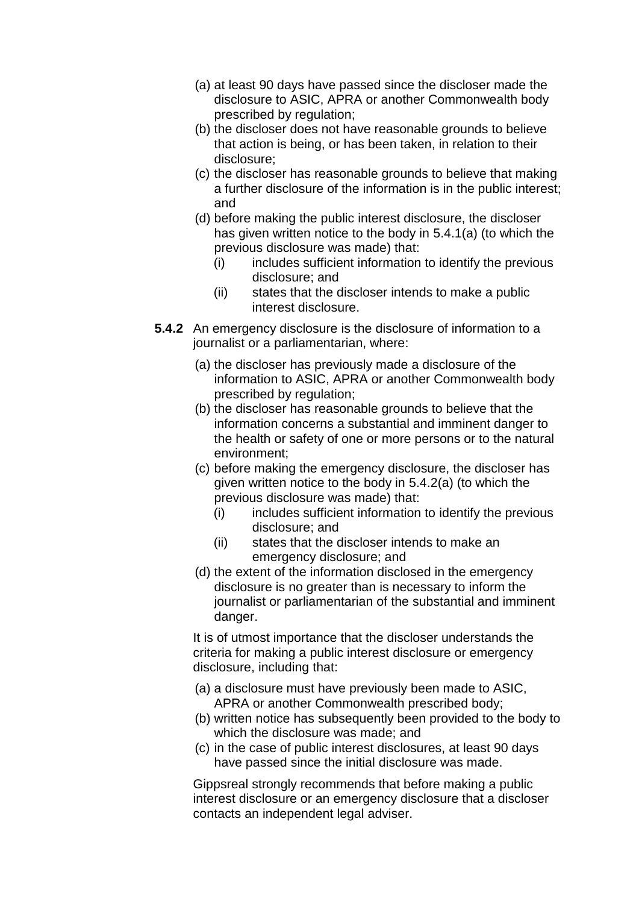- (a) at least 90 days have passed since the discloser made the disclosure to ASIC, APRA or another Commonwealth body prescribed by regulation;
- (b) the discloser does not have reasonable grounds to believe that action is being, or has been taken, in relation to their disclosure;
- (c) the discloser has reasonable grounds to believe that making a further disclosure of the information is in the public interest; and
- (d) before making the public interest disclosure, the discloser has given written notice to the body in 5.4.1(a) (to which the previous disclosure was made) that:
	- (i) includes sufficient information to identify the previous disclosure; and
	- (ii) states that the discloser intends to make a public interest disclosure.
- **5.4.2** An emergency disclosure is the disclosure of information to a journalist or a parliamentarian, where:
	- (a) the discloser has previously made a disclosure of the information to ASIC, APRA or another Commonwealth body prescribed by regulation;
	- (b) the discloser has reasonable grounds to believe that the information concerns a substantial and imminent danger to the health or safety of one or more persons or to the natural environment;
	- (c) before making the emergency disclosure, the discloser has given written notice to the body in 5.4.2(a) (to which the previous disclosure was made) that:
		- (i) includes sufficient information to identify the previous disclosure; and
		- (ii) states that the discloser intends to make an emergency disclosure; and
	- (d) the extent of the information disclosed in the emergency disclosure is no greater than is necessary to inform the journalist or parliamentarian of the substantial and imminent danger.

It is of utmost importance that the discloser understands the criteria for making a public interest disclosure or emergency disclosure, including that:

- (a) a disclosure must have previously been made to ASIC, APRA or another Commonwealth prescribed body;
- (b) written notice has subsequently been provided to the body to which the disclosure was made; and
- (c) in the case of public interest disclosures, at least 90 days have passed since the initial disclosure was made.

Gippsreal strongly recommends that before making a public interest disclosure or an emergency disclosure that a discloser contacts an independent legal adviser.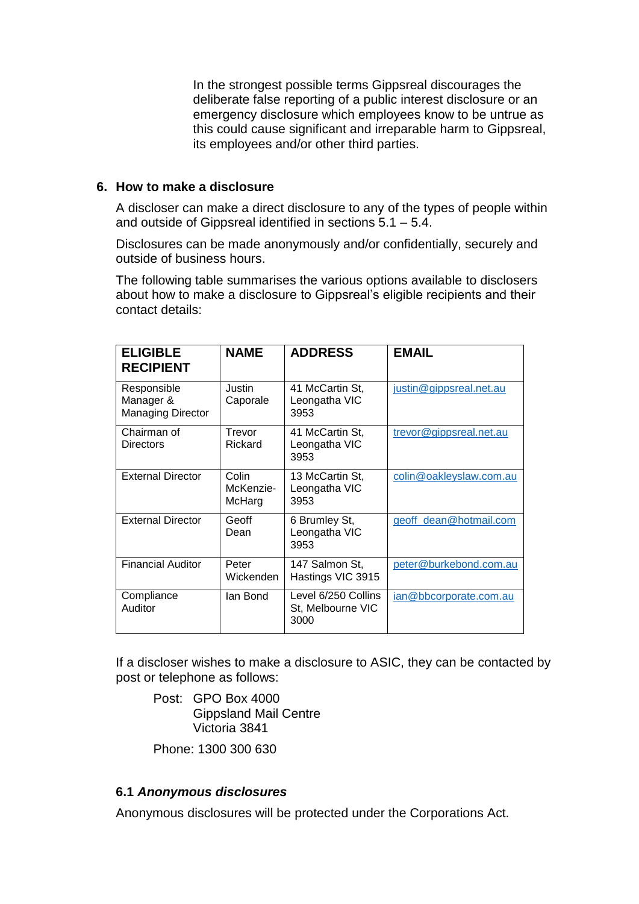In the strongest possible terms Gippsreal discourages the deliberate false reporting of a public interest disclosure or an emergency disclosure which employees know to be untrue as this could cause significant and irreparable harm to Gippsreal, its employees and/or other third parties.

#### **6. How to make a disclosure**

A discloser can make a direct disclosure to any of the types of people within and outside of Gippsreal identified in sections 5.1 – 5.4.

Disclosures can be made anonymously and/or confidentially, securely and outside of business hours.

The following table summarises the various options available to disclosers about how to make a disclosure to Gippsreal's eligible recipients and their contact details:

| <b>ELIGIBLE</b><br><b>RECIPIENT</b>                  | <b>NAME</b>                  | <b>ADDRESS</b>                                   | <b>EMAIL</b>            |
|------------------------------------------------------|------------------------------|--------------------------------------------------|-------------------------|
| Responsible<br>Manager &<br><b>Managing Director</b> | Justin<br>Caporale           | 41 McCartin St,<br>Leongatha VIC<br>3953         | justin@gippsreal.net.au |
| Chairman of<br>Directors                             | Trevor<br>Rickard            | 41 McCartin St,<br>Leongatha VIC<br>3953         | trevor@gippsreal.net.au |
| <b>External Director</b>                             | Colin<br>McKenzie-<br>McHarg | 13 McCartin St,<br>Leongatha VIC<br>3953         | colin@oakleyslaw.com.au |
| <b>External Director</b>                             | Geoff<br>Dean                | 6 Brumley St,<br>Leongatha VIC<br>3953           | geoff_dean@hotmail.com  |
| <b>Financial Auditor</b>                             | Peter<br>Wickenden           | 147 Salmon St,<br>Hastings VIC 3915              | peter@burkebond.com.au  |
| Compliance<br>Auditor                                | lan Bond                     | Level 6/250 Collins<br>St, Melbourne VIC<br>3000 | ian@bbcorporate.com.au  |

If a discloser wishes to make a disclosure to ASIC, they can be contacted by post or telephone as follows:

Post: GPO Box 4000 Gippsland Mail Centre Victoria 3841

Phone: 1300 300 630

#### **6.1** *Anonymous disclosures*

Anonymous disclosures will be protected under the Corporations Act.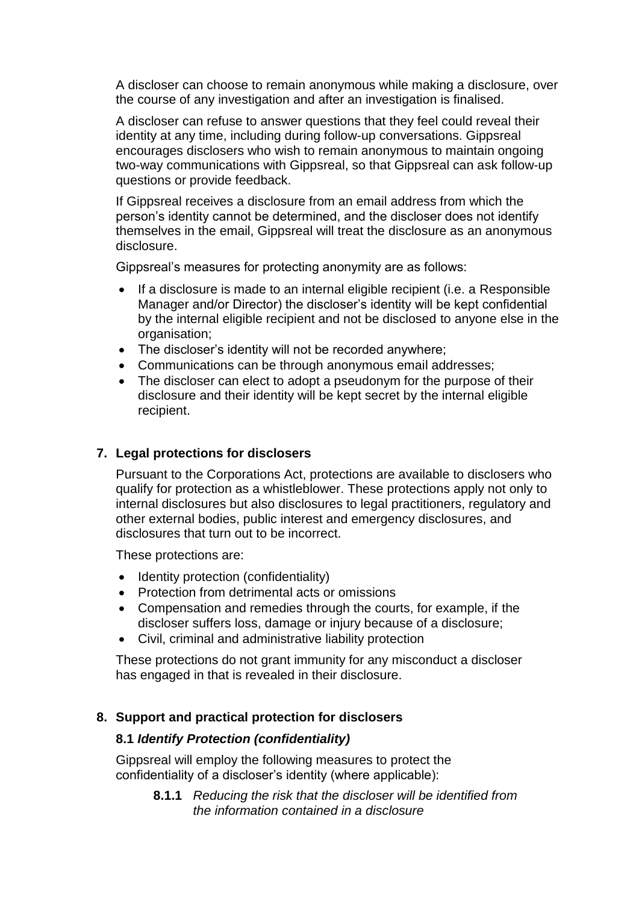A discloser can choose to remain anonymous while making a disclosure, over the course of any investigation and after an investigation is finalised.

A discloser can refuse to answer questions that they feel could reveal their identity at any time, including during follow-up conversations. Gippsreal encourages disclosers who wish to remain anonymous to maintain ongoing two-way communications with Gippsreal, so that Gippsreal can ask follow-up questions or provide feedback.

If Gippsreal receives a disclosure from an email address from which the person's identity cannot be determined, and the discloser does not identify themselves in the email, Gippsreal will treat the disclosure as an anonymous disclosure.

Gippsreal's measures for protecting anonymity are as follows:

- If a disclosure is made to an internal eligible recipient (i.e. a Responsible Manager and/or Director) the discloser's identity will be kept confidential by the internal eligible recipient and not be disclosed to anyone else in the organisation;
- The discloser's identity will not be recorded anywhere;
- Communications can be through anonymous email addresses;
- The discloser can elect to adopt a pseudonym for the purpose of their disclosure and their identity will be kept secret by the internal eligible recipient.

#### **7. Legal protections for disclosers**

Pursuant to the Corporations Act, protections are available to disclosers who qualify for protection as a whistleblower. These protections apply not only to internal disclosures but also disclosures to legal practitioners, regulatory and other external bodies, public interest and emergency disclosures, and disclosures that turn out to be incorrect.

These protections are:

- Identity protection (confidentiality)
- Protection from detrimental acts or omissions
- Compensation and remedies through the courts, for example, if the discloser suffers loss, damage or injury because of a disclosure;
- Civil, criminal and administrative liability protection

These protections do not grant immunity for any misconduct a discloser has engaged in that is revealed in their disclosure.

#### **8. Support and practical protection for disclosers**

#### **8.1** *Identify Protection (confidentiality)*

Gippsreal will employ the following measures to protect the confidentiality of a discloser's identity (where applicable):

> **8.1.1** *Reducing the risk that the discloser will be identified from the information contained in a disclosure*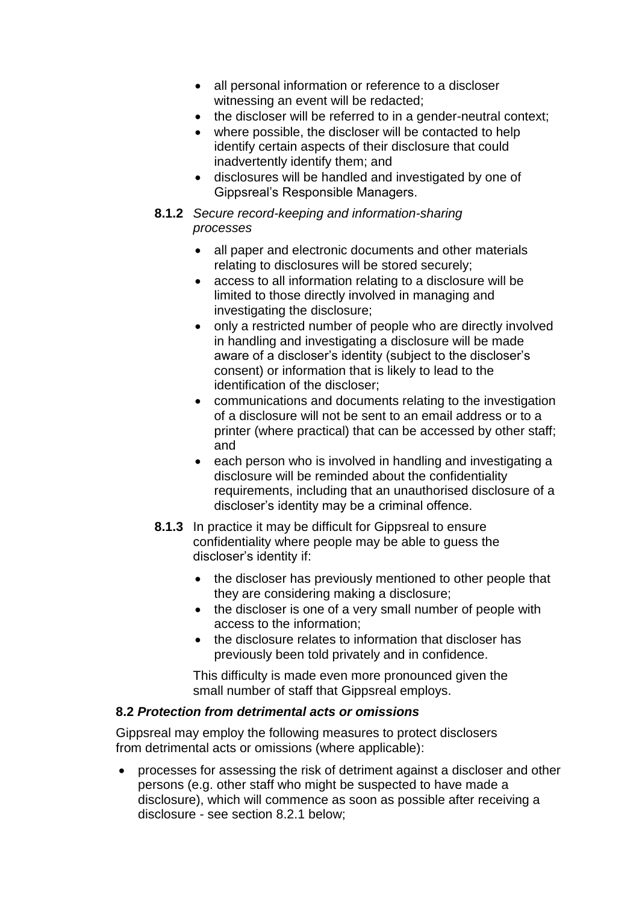- all personal information or reference to a discloser witnessing an event will be redacted;
- the discloser will be referred to in a gender-neutral context;
- where possible, the discloser will be contacted to help identify certain aspects of their disclosure that could inadvertently identify them; and
- disclosures will be handled and investigated by one of Gippsreal's Responsible Managers.

#### **8.1.2** *Secure record-keeping and information-sharing processes*

- all paper and electronic documents and other materials relating to disclosures will be stored securely;
- access to all information relating to a disclosure will be limited to those directly involved in managing and investigating the disclosure;
- only a restricted number of people who are directly involved in handling and investigating a disclosure will be made aware of a discloser's identity (subject to the discloser's consent) or information that is likely to lead to the identification of the discloser;
- communications and documents relating to the investigation of a disclosure will not be sent to an email address or to a printer (where practical) that can be accessed by other staff; and
- each person who is involved in handling and investigating a disclosure will be reminded about the confidentiality requirements, including that an unauthorised disclosure of a discloser's identity may be a criminal offence.
- **8.1.3** In practice it may be difficult for Gippsreal to ensure confidentiality where people may be able to guess the discloser's identity if:
	- the discloser has previously mentioned to other people that they are considering making a disclosure;
	- the discloser is one of a very small number of people with access to the information;
	- the disclosure relates to information that discloser has previously been told privately and in confidence.

This difficulty is made even more pronounced given the small number of staff that Gippsreal employs.

### **8.2** *Protection from detrimental acts or omissions*

Gippsreal may employ the following measures to protect disclosers from detrimental acts or omissions (where applicable):

 processes for assessing the risk of detriment against a discloser and other persons (e.g. other staff who might be suspected to have made a disclosure), which will commence as soon as possible after receiving a disclosure - see section 8.2.1 below;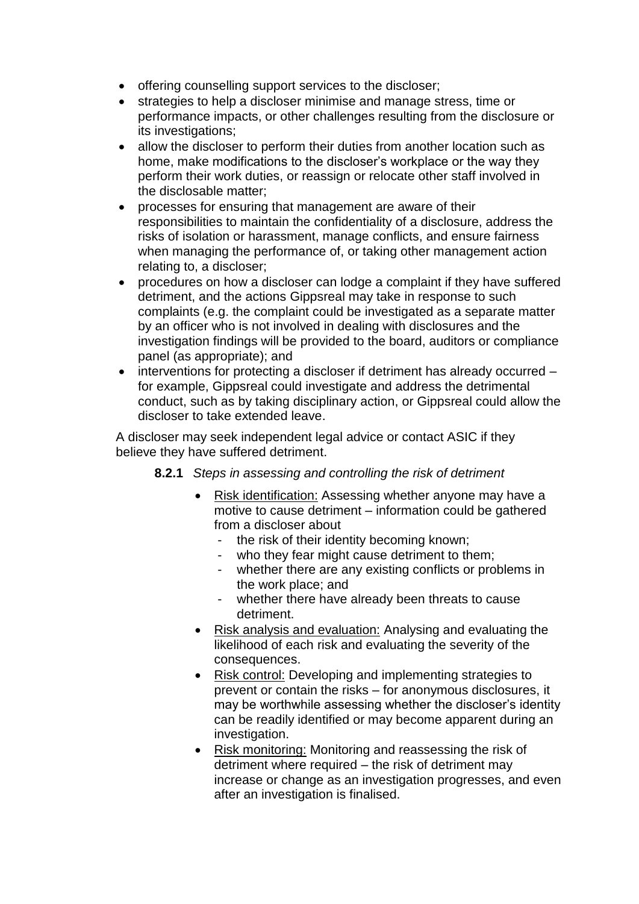- offering counselling support services to the discloser;
- strategies to help a discloser minimise and manage stress, time or performance impacts, or other challenges resulting from the disclosure or its investigations;
- allow the discloser to perform their duties from another location such as home, make modifications to the discloser's workplace or the way they perform their work duties, or reassign or relocate other staff involved in the disclosable matter;
- processes for ensuring that management are aware of their responsibilities to maintain the confidentiality of a disclosure, address the risks of isolation or harassment, manage conflicts, and ensure fairness when managing the performance of, or taking other management action relating to, a discloser;
- procedures on how a discloser can lodge a complaint if they have suffered detriment, and the actions Gippsreal may take in response to such complaints (e.g. the complaint could be investigated as a separate matter by an officer who is not involved in dealing with disclosures and the investigation findings will be provided to the board, auditors or compliance panel (as appropriate); and
- interventions for protecting a discloser if detriment has already occurred for example, Gippsreal could investigate and address the detrimental conduct, such as by taking disciplinary action, or Gippsreal could allow the discloser to take extended leave.

A discloser may seek independent legal advice or contact ASIC if they believe they have suffered detriment.

- **8.2.1** *Steps in assessing and controlling the risk of detriment*
	- Risk identification: Assessing whether anyone may have a motive to cause detriment – information could be gathered from a discloser about
		- the risk of their identity becoming known;
		- who they fear might cause detriment to them;
		- whether there are any existing conflicts or problems in the work place; and
		- whether there have already been threats to cause detriment.
	- Risk analysis and evaluation: Analysing and evaluating the likelihood of each risk and evaluating the severity of the consequences.
	- Risk control: Developing and implementing strategies to prevent or contain the risks – for anonymous disclosures, it may be worthwhile assessing whether the discloser's identity can be readily identified or may become apparent during an investigation.
	- Risk monitoring: Monitoring and reassessing the risk of detriment where required – the risk of detriment may increase or change as an investigation progresses, and even after an investigation is finalised.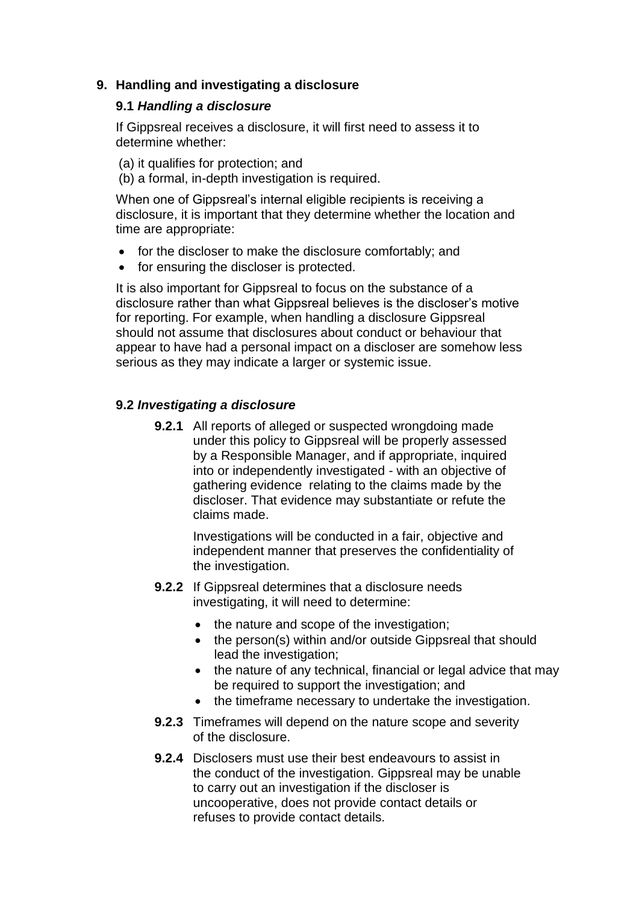### **9. Handling and investigating a disclosure**

#### **9.1** *Handling a disclosure*

If Gippsreal receives a disclosure, it will first need to assess it to determine whether:

(a) it qualifies for protection; and (b) a formal, in-depth investigation is required.

When one of Gippsreal's internal eligible recipients is receiving a disclosure, it is important that they determine whether the location and time are appropriate:

- for the discloser to make the disclosure comfortably; and
- for ensuring the discloser is protected.

It is also important for Gippsreal to focus on the substance of a disclosure rather than what Gippsreal believes is the discloser's motive for reporting. For example, when handling a disclosure Gippsreal should not assume that disclosures about conduct or behaviour that appear to have had a personal impact on a discloser are somehow less serious as they may indicate a larger or systemic issue.

### **9.2** *Investigating a disclosure*

**9.2.1** All reports of alleged or suspected wrongdoing made under this policy to Gippsreal will be properly assessed by a Responsible Manager, and if appropriate, inquired into or independently investigated - with an objective of gathering evidence relating to the claims made by the discloser. That evidence may substantiate or refute the claims made.

> Investigations will be conducted in a fair, objective and independent manner that preserves the confidentiality of the investigation.

- **9.2.2** If Gippsreal determines that a disclosure needs investigating, it will need to determine:
	- the nature and scope of the investigation;
	- the person(s) within and/or outside Gippsreal that should lead the investigation;
	- the nature of any technical, financial or legal advice that may be required to support the investigation; and
	- the timeframe necessary to undertake the investigation.
- **9.2.3** Timeframes will depend on the nature scope and severity of the disclosure.
- **9.2.4** Disclosers must use their best endeavours to assist in the conduct of the investigation. Gippsreal may be unable to carry out an investigation if the discloser is uncooperative, does not provide contact details or refuses to provide contact details.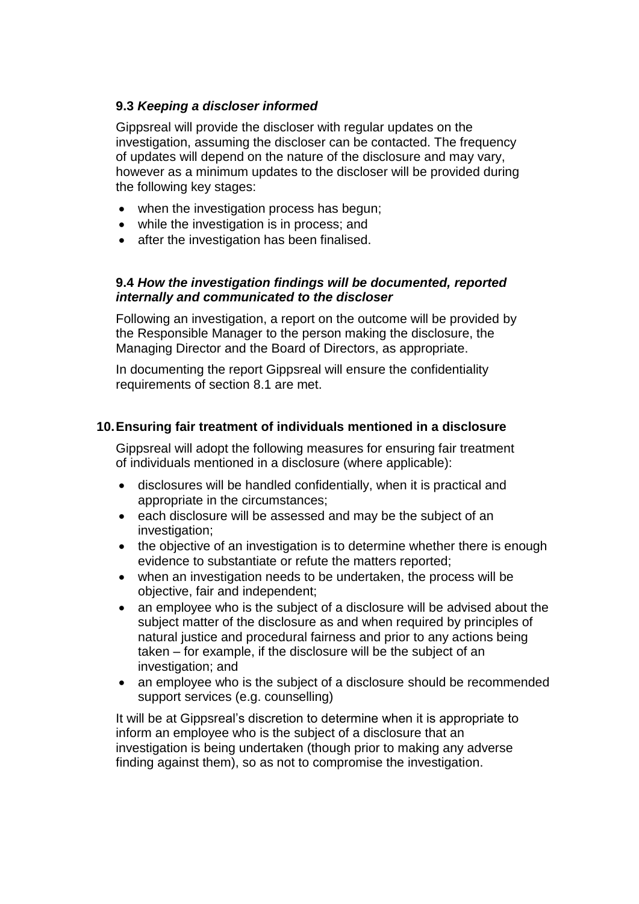### **9.3** *Keeping a discloser informed*

Gippsreal will provide the discloser with regular updates on the investigation, assuming the discloser can be contacted. The frequency of updates will depend on the nature of the disclosure and may vary, however as a minimum updates to the discloser will be provided during the following key stages:

- when the investigation process has begun;
- while the investigation is in process; and
- after the investigation has been finalised.

#### **9.4** *How the investigation findings will be documented, reported internally and communicated to the discloser*

Following an investigation, a report on the outcome will be provided by the Responsible Manager to the person making the disclosure, the Managing Director and the Board of Directors, as appropriate.

In documenting the report Gippsreal will ensure the confidentiality requirements of section 8.1 are met.

### **10.Ensuring fair treatment of individuals mentioned in a disclosure**

Gippsreal will adopt the following measures for ensuring fair treatment of individuals mentioned in a disclosure (where applicable):

- disclosures will be handled confidentially, when it is practical and appropriate in the circumstances;
- each disclosure will be assessed and may be the subject of an investigation;
- the objective of an investigation is to determine whether there is enough evidence to substantiate or refute the matters reported;
- when an investigation needs to be undertaken, the process will be objective, fair and independent;
- an employee who is the subject of a disclosure will be advised about the subject matter of the disclosure as and when required by principles of natural justice and procedural fairness and prior to any actions being taken – for example, if the disclosure will be the subject of an investigation; and
- an employee who is the subject of a disclosure should be recommended support services (e.g. counselling)

It will be at Gippsreal's discretion to determine when it is appropriate to inform an employee who is the subject of a disclosure that an investigation is being undertaken (though prior to making any adverse finding against them), so as not to compromise the investigation.